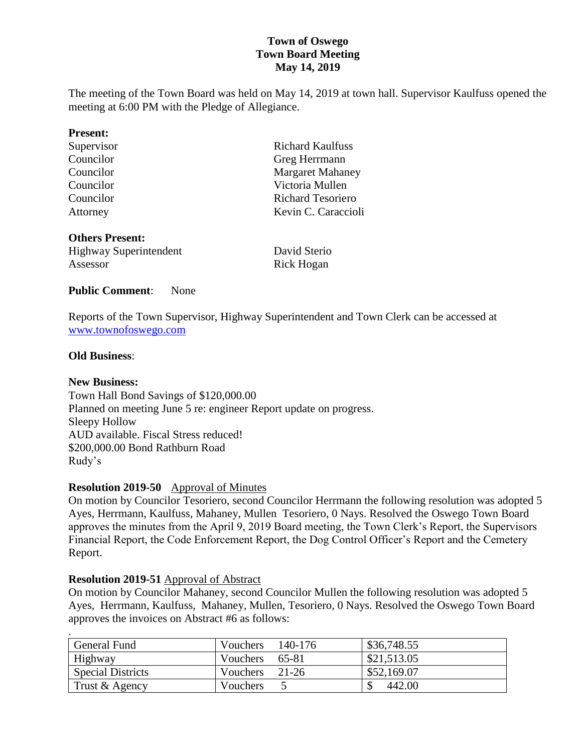# **Town of Oswego Town Board Meeting May 14, 2019**

The meeting of the Town Board was held on May 14, 2019 at town hall. Supervisor Kaulfuss opened the meeting at 6:00 PM with the Pledge of Allegiance.

| <b>Present:</b>               |                          |  |
|-------------------------------|--------------------------|--|
| Supervisor                    | <b>Richard Kaulfuss</b>  |  |
| Councilor                     | Greg Herrmann            |  |
| Councilor                     | <b>Margaret Mahaney</b>  |  |
| Councilor                     | Victoria Mullen          |  |
| Councilor                     | <b>Richard Tesoriero</b> |  |
| Attorney                      | Kevin C. Caraccioli      |  |
| <b>Others Present:</b>        |                          |  |
| <b>Highway Superintendent</b> | David Sterio             |  |

Assessor Rick Hogan

# **Public Comment**: None

Reports of the Town Supervisor, Highway Superintendent and Town Clerk can be accessed at [www.townofoswego.com](http://www.townofoswego.com/)

#### **Old Business**:

#### **New Business:**

Town Hall Bond Savings of \$120,000.00 Planned on meeting June 5 re: engineer Report update on progress. Sleepy Hollow AUD available. Fiscal Stress reduced! \$200,000.00 Bond Rathburn Road Rudy's

# **Resolution 2019-50** Approval of Minutes

On motion by Councilor Tesoriero, second Councilor Herrmann the following resolution was adopted 5 Ayes, Herrmann, Kaulfuss, Mahaney, Mullen Tesoriero, 0 Nays. Resolved the Oswego Town Board approves the minutes from the April 9, 2019 Board meeting, the Town Clerk's Report, the Supervisors Financial Report, the Code Enforcement Report, the Dog Control Officer's Report and the Cemetery Report.

#### **Resolution 2019-51** Approval of Abstract

On motion by Councilor Mahaney, second Councilor Mullen the following resolution was adopted 5 Ayes, Herrmann, Kaulfuss, Mahaney, Mullen, Tesoriero, 0 Nays. Resolved the Oswego Town Board approves the invoices on Abstract #6 as follows:

| $\cdot$                  |                  |         |             |
|--------------------------|------------------|---------|-------------|
| General Fund             | Vouchers         | 140-176 | \$36,748.55 |
| Highway                  | Vouchers         | 65-81   | \$21,513.05 |
| <b>Special Districts</b> | Vouchers         | $21-26$ | \$52,169.07 |
| Trust & Agency           | <b>V</b> ouchers |         | 442.00      |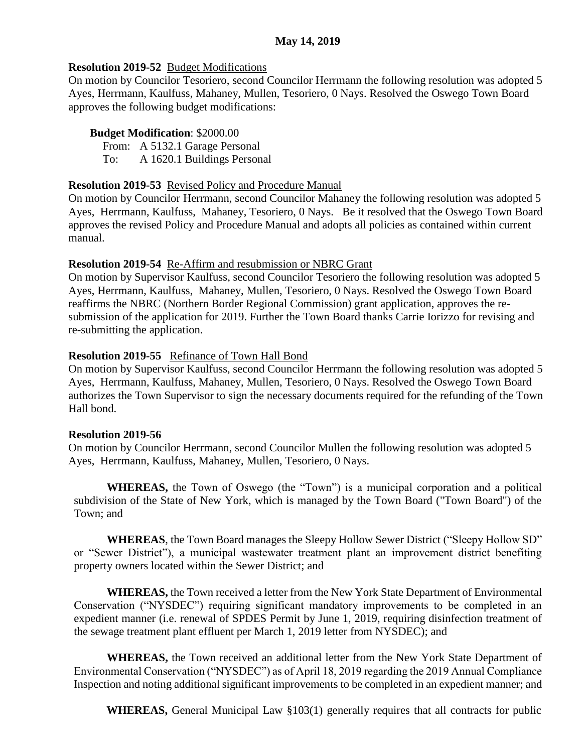# **Resolution 2019-52** Budget Modifications

On motion by Councilor Tesoriero, second Councilor Herrmann the following resolution was adopted 5 Ayes, Herrmann, Kaulfuss, Mahaney, Mullen, Tesoriero, 0 Nays. Resolved the Oswego Town Board approves the following budget modifications:

# **Budget Modification**: \$2000.00

From: A 5132.1 Garage Personal To: A 1620.1 Buildings Personal

### **Resolution 2019-53** Revised Policy and Procedure Manual

On motion by Councilor Herrmann, second Councilor Mahaney the following resolution was adopted 5 Ayes, Herrmann, Kaulfuss, Mahaney, Tesoriero, 0 Nays. Be it resolved that the Oswego Town Board approves the revised Policy and Procedure Manual and adopts all policies as contained within current manual.

### **Resolution 2019-54** Re-Affirm and resubmission or NBRC Grant

On motion by Supervisor Kaulfuss, second Councilor Tesoriero the following resolution was adopted 5 Ayes, Herrmann, Kaulfuss, Mahaney, Mullen, Tesoriero, 0 Nays. Resolved the Oswego Town Board reaffirms the NBRC (Northern Border Regional Commission) grant application, approves the resubmission of the application for 2019. Further the Town Board thanks Carrie Iorizzo for revising and re-submitting the application.

# **Resolution 2019-55** Refinance of Town Hall Bond

On motion by Supervisor Kaulfuss, second Councilor Herrmann the following resolution was adopted 5 Ayes, Herrmann, Kaulfuss, Mahaney, Mullen, Tesoriero, 0 Nays. Resolved the Oswego Town Board authorizes the Town Supervisor to sign the necessary documents required for the refunding of the Town Hall bond.

#### **Resolution 2019-56**

On motion by Councilor Herrmann, second Councilor Mullen the following resolution was adopted 5 Ayes, Herrmann, Kaulfuss, Mahaney, Mullen, Tesoriero, 0 Nays.

**WHEREAS,** the Town of Oswego (the "Town") is a municipal corporation and a political subdivision of the State of New York, which is managed by the Town Board ("Town Board") of the Town; and

**WHEREAS**, the Town Board manages the Sleepy Hollow Sewer District ("Sleepy Hollow SD" or "Sewer District"), a municipal wastewater treatment plant an improvement district benefiting property owners located within the Sewer District; and

**WHEREAS,** the Town received a letter from the New York State Department of Environmental Conservation ("NYSDEC") requiring significant mandatory improvements to be completed in an expedient manner (i.e. renewal of SPDES Permit by June 1, 2019, requiring disinfection treatment of the sewage treatment plant effluent per March 1, 2019 letter from NYSDEC); and

**WHEREAS,** the Town received an additional letter from the New York State Department of Environmental Conservation ("NYSDEC") as of April 18, 2019 regarding the 2019 Annual Compliance Inspection and noting additional significant improvements to be completed in an expedient manner; and

**WHEREAS,** General Municipal Law §103(1) generally requires that all contracts for public